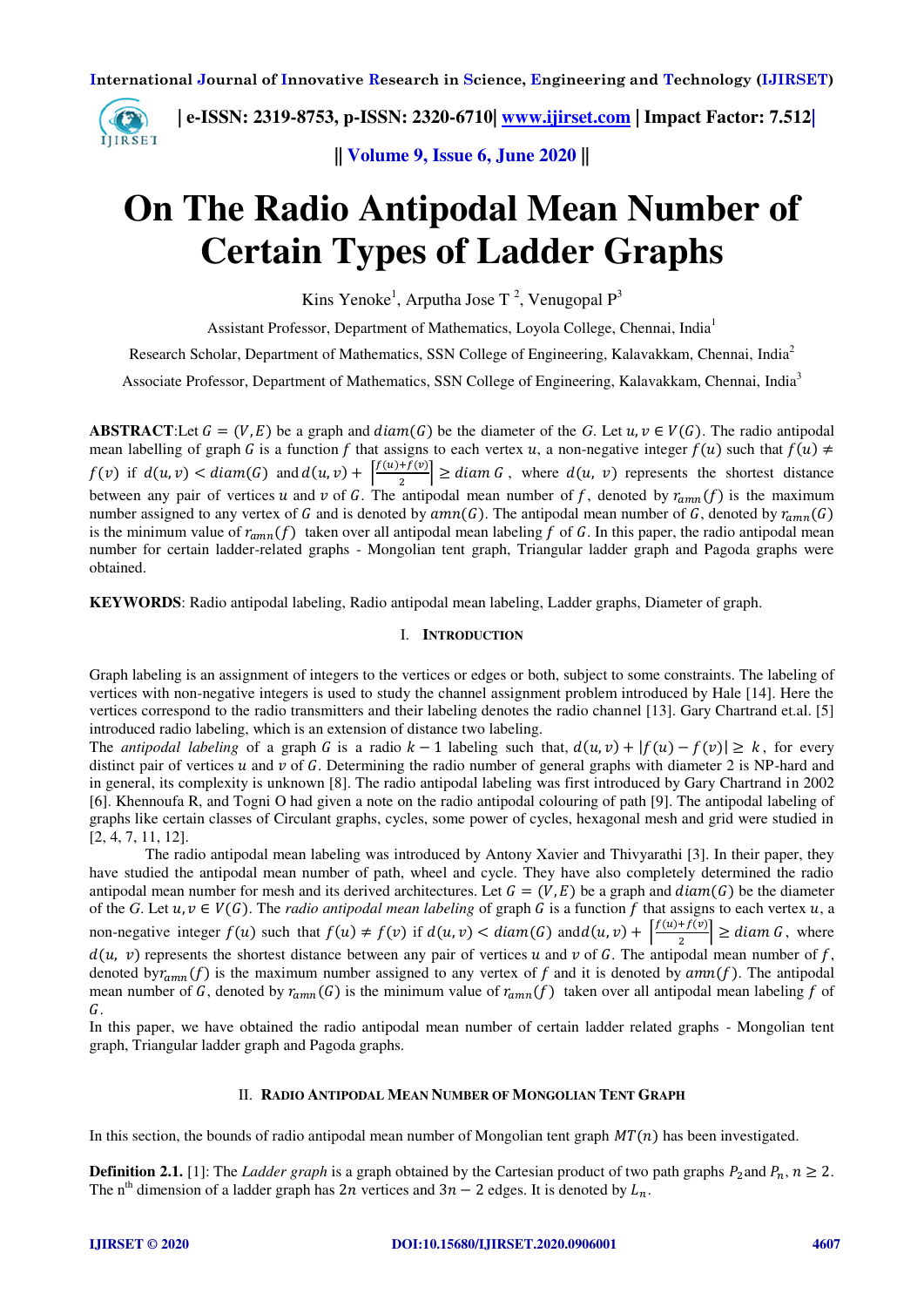

 **| e-ISSN: 2319-8753, p-ISSN: 2320-6710| [www.ijirset.com](http://www.ijirset.com/) | Impact Factor: 7.512|**

**|| Volume 9, Issue 6, June 2020 ||** 

# **On The Radio Antipodal Mean Number of Certain Types of Ladder Graphs**

Kins Yenoke<sup>1</sup>, Arputha Jose T<sup>2</sup>, Venugopal  $P^3$ 

Assistant Professor, Department of Mathematics, Loyola College, Chennai, India<sup>1</sup>

Research Scholar, Department of Mathematics, SSN College of Engineering, Kalavakkam, Chennai, India<sup>2</sup>

Associate Professor, Department of Mathematics, SSN College of Engineering, Kalavakkam, Chennai, India<sup>3</sup>

**ABSTRACT**:Let  $G = (V, E)$  be a graph and  $diam(G)$  be the diameter of the G. Let  $u, v \in V(G)$ . The radio antipodal mean labelling of graph G is a function f that assigns to each vertex u, a non-negative integer  $f(u)$  such that  $f(u) \neq$  $f(v)$  if  $d(u, v) < diam(G)$  and  $d(u, v) + \left|\frac{f(u) + f(v)}{2}\right| \geq diam G$ , where  $d(u, v)$  represents the shortest distance between any pair of vertices u and v of G. The antipodal mean number of f, denoted by  $r_{amn}(f)$  is the maximum number assigned to any vertex of G and is denoted by  $amn(G)$ . The antipodal mean number of G, denoted by  $r_{amn}(G)$ is the minimum value of  $r_{amn}(f)$  taken over all antipodal mean labeling f of G. In this paper, the radio antipodal mean number for certain ladder-related graphs - Mongolian tent graph, Triangular ladder graph and Pagoda graphs were obtained.

**KEYWORDS**: Radio antipodal labeling, Radio antipodal mean labeling, Ladder graphs, Diameter of graph.

## I. **INTRODUCTION**

Graph labeling is an assignment of integers to the vertices or edges or both, subject to some constraints. The labeling of vertices with non-negative integers is used to study the channel assignment problem introduced by Hale [14]. Here the vertices correspond to the radio transmitters and their labeling denotes the radio channel [13]. Gary Chartrand et.al. [5] introduced radio labeling, which is an extension of distance two labeling.

The *antipodal labeling* of a graph G is a radio  $k - 1$  labeling such that,  $d(u, v) + |f(u) - f(v)| \geq k$ , for every distinct pair of vertices  $u$  and  $v$  of  $G$ . Determining the radio number of general graphs with diameter 2 is NP-hard and in general, its complexity is unknown [8]. The radio antipodal labeling was first introduced by Gary Chartrand in 2002 [6]. Khennoufa R, and Togni O had given a note on the radio antipodal colouring of path [9]. The antipodal labeling of graphs like certain classes of Circulant graphs, cycles, some power of cycles, hexagonal mesh and grid were studied in [2, 4, 7, 11, 12].

 The radio antipodal mean labeling was introduced by Antony Xavier and Thivyarathi [3]. In their paper, they have studied the antipodal mean number of path, wheel and cycle. They have also completely determined the radio antipodal mean number for mesh and its derived architectures. Let  $G = (V, E)$  be a graph and  $diam(G)$  be the diameter of the *G*. Let  $u, v \in V(G)$ . The *radio antipodal mean labeling* of graph *G* is a function *f* that assigns to each vertex  $u$ , a non-negative integer  $f(u)$  such that  $f(u) \neq f(v)$  if  $d(u, v) < diam(G)$  and  $d(u, v) + \left|\frac{f(u) + f(v)}{2}\right| \geq diam(G)$ , where  $d(u, v)$  represents the shortest distance between any pair of vertices u and v of G. The antipodal mean number of f, denoted by  $r_{amn}(f)$  is the maximum number assigned to any vertex of f and it is denoted by  $amn(f)$ . The antipodal mean number of G, denoted by  $r_{ann}(G)$  is the minimum value of  $r_{ann}(f)$  taken over all antipodal mean labeling f of G.

In this paper, we have obtained the radio antipodal mean number of certain ladder related graphs - Mongolian tent graph, Triangular ladder graph and Pagoda graphs.

# II. **RADIO ANTIPODAL MEAN NUMBER OF MONGOLIAN TENT GRAPH**

In this section, the bounds of radio antipodal mean number of Mongolian tent graph  $MT(n)$  has been investigated.

**Definition 2.1.** [1]: The *Ladder graph* is a graph obtained by the Cartesian product of two path graphs  $P_2$  and  $P_n$ ,  $n \ge 2$ . The n<sup>th</sup> dimension of a ladder graph has  $2n$  vertices and  $3n - 2$  edges. It is denoted by  $L_n$ .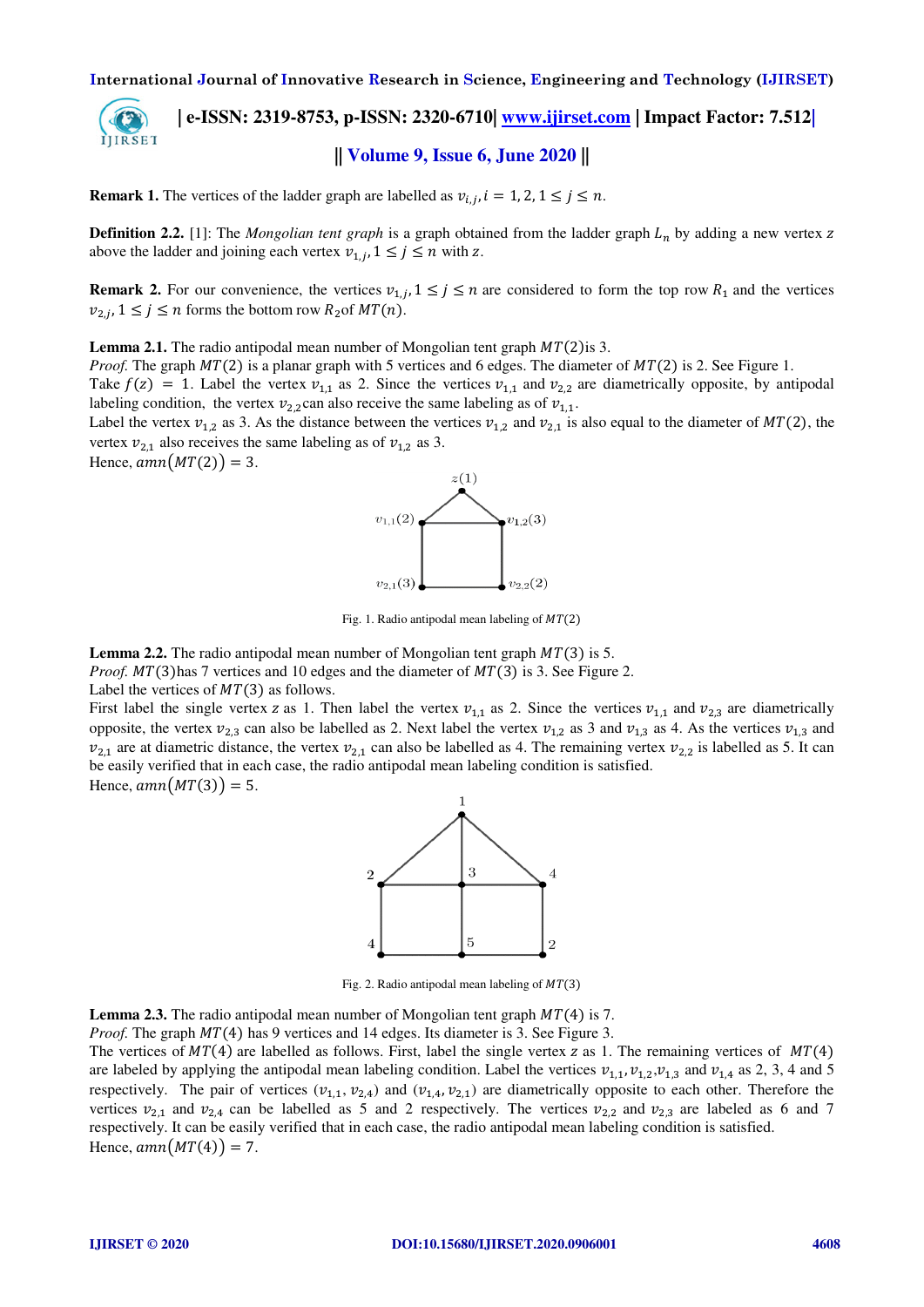IJIRSET

# **| e-ISSN: 2319-8753, p-ISSN: 2320-6710| [www.ijirset.com](http://www.ijirset.com/) | Impact Factor: 7.512| || Volume 9, Issue 6, June 2020 ||**

**Remark 1.** The vertices of the ladder graph are labelled as  $v_{i,j}$ ,  $i = 1, 2, 1 \le j \le n$ .

**Definition 2.2.** [1]: The *Mongolian tent graph* is a graph obtained from the ladder graph  $L_n$  by adding a new vertex z above the ladder and joining each vertex  $v_{1,i}$ ,  $1 \leq j \leq n$  with z.

**Remark 2.** For our convenience, the vertices  $v_{1,j}$ ,  $1 \le j \le n$  are considered to form the top row  $R_1$  and the vertices  $v_{2,j}$ ,  $1 \le j \le n$  forms the bottom row  $R_2$  of  $MT(n)$ .

**Lemma 2.1.** The radio antipodal mean number of Mongolian tent graph  $MT(2)$  is 3.

*Proof.* The graph  $MT(2)$  is a planar graph with 5 vertices and 6 edges. The diameter of  $MT(2)$  is 2. See Figure 1.

Take  $f(z) = 1$ . Label the vertex  $v_{1,1}$  as 2. Since the vertices  $v_{1,1}$  and  $v_{2,2}$  are diametrically opposite, by antipodal labeling condition, the vertex  $v_{2,2}$ can also receive the same labeling as of  $v_{1,1}$ .

Label the vertex  $v_{1,2}$  as 3. As the distance between the vertices  $v_{1,2}$  and  $v_{2,1}$  is also equal to the diameter of  $MT(2)$ , the vertex  $v_{2,1}$  also receives the same labeling as of  $v_{1,2}$  as 3.

Hence,  $amn(MT(2)) = 3$ .



Fig. 1. Radio antipodal mean labeling of  $MT(2)$ 

**Lemma 2.2.** The radio antipodal mean number of Mongolian tent graph  $MT(3)$  is 5.

*Proof.*  $MT(3)$ has 7 vertices and 10 edges and the diameter of  $MT(3)$  is 3. See Figure 2.

Label the vertices of  $MT(3)$  as follows.

First label the single vertex z as 1. Then label the vertex  $v_{1,1}$  as 2. Since the vertices  $v_{1,1}$  and  $v_{2,3}$  are diametrically opposite, the vertex  $v_{2,3}$  can also be labelled as 2. Next label the vertex  $v_{1,2}$  as 3 and  $v_{1,3}$  as 4. As the vertices  $v_{1,3}$  and  $v_{2,1}$  are at diametric distance, the vertex  $v_{2,1}$  can also be labelled as 4. The remaining vertex  $v_{2,2}$  is labelled as 5. It can be easily verified that in each case, the radio antipodal mean labeling condition is satisfied.

Hence,  $amn(MT(3)) = 5$ .



Fig. 2. Radio antipodal mean labeling of  $MT(3)$ 

**Lemma 2.3.** The radio antipodal mean number of Mongolian tent graph  $MT(4)$  is 7.

*Proof.* The graph  $MT(4)$  has 9 vertices and 14 edges. Its diameter is 3. See Figure 3.

The vertices of  $MT(4)$  are labelled as follows. First, label the single vertex z as 1. The remaining vertices of  $MT(4)$ are labeled by applying the antipodal mean labeling condition. Label the vertices  $v_{1,1}, v_{1,2}, v_{1,3}$  and  $v_{1,4}$  as 2, 3, 4 and 5 respectively. The pair of vertices  $(v_{1,1}, v_{2,4})$  and  $(v_{1,4}, v_{2,1})$  are diametrically opposite to each other. Therefore the vertices  $v_{2,1}$  and  $v_{2,4}$  can be labelled as 5 and 2 respectively. The vertices  $v_{2,2}$  and  $v_{2,3}$  are labeled as 6 and 7 respectively. It can be easily verified that in each case, the radio antipodal mean labeling condition is satisfied. Hence,  $amn(MT(4)) = 7$ .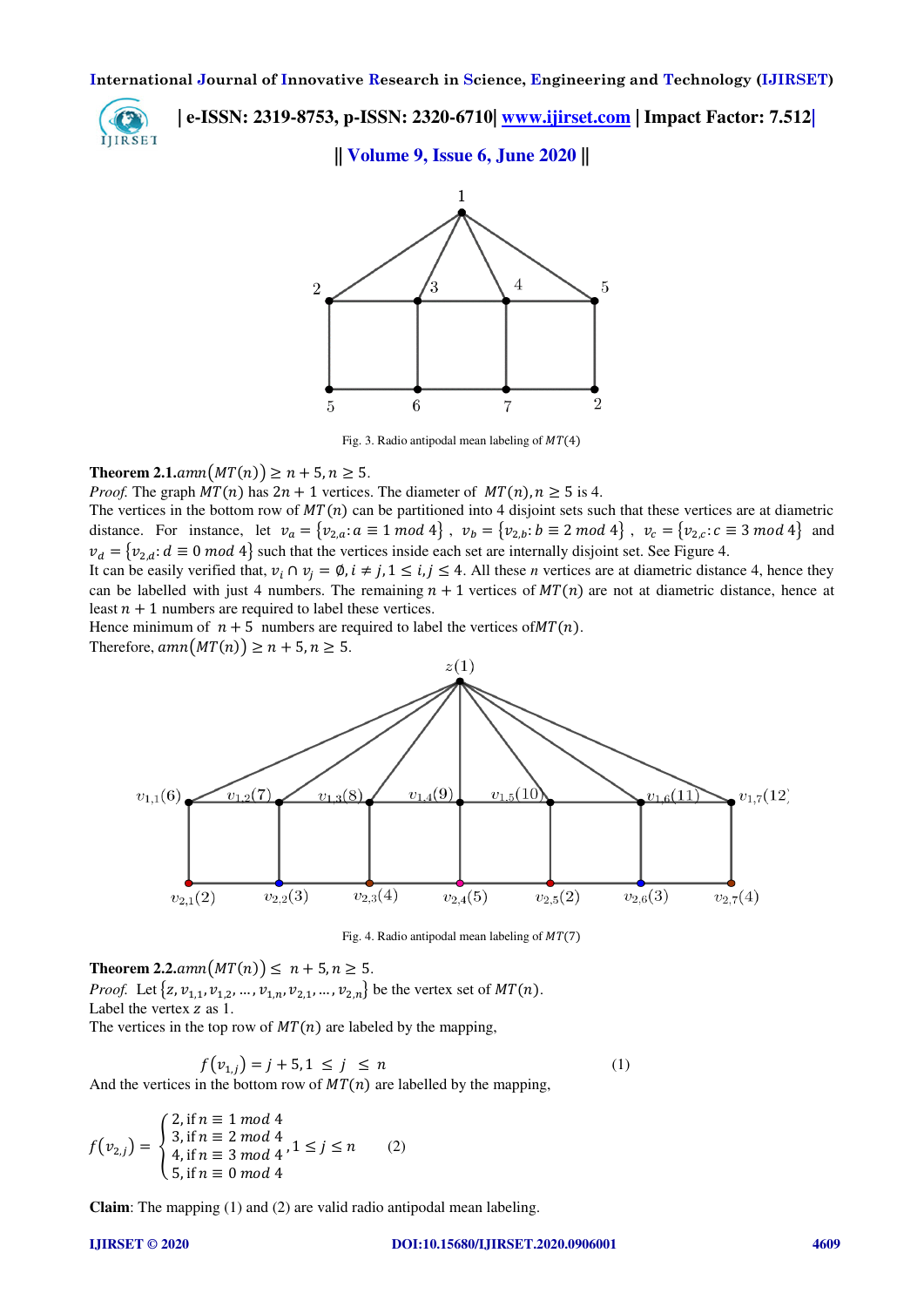

 **| e-ISSN: 2319-8753, p-ISSN: 2320-6710| [www.ijirset.com](http://www.ijirset.com/) | Impact Factor: 7.512|**

# **|| Volume 9, Issue 6, June 2020 ||**



Fig. 3. Radio antipodal mean labeling of  $MT(4)$ 

# **Theorem 2.1.** $amn(MT(n)) \ge n + 5, n \ge 5$ .

*Proof.* The graph  $MT(n)$  has  $2n + 1$  vertices. The diameter of  $MT(n)$ ,  $n > 5$  is 4.

The vertices in the bottom row of  $MT(n)$  can be partitioned into 4 disjoint sets such that these vertices are at diametric distance. For instance, let  $v_a = \{v_{2,a}: a \equiv 1 \mod 4\}$ ,  $v_b = \{v_{2,b}: b \equiv 2 \mod 4\}$ ,  $v_c = \{v_{2,c}: c \equiv 3 \mod 4\}$  and  $v_d = \{v_{2,d}: d \equiv 0 \mod 4\}$  such that the vertices inside each set are internally disjoint set. See Figure 4.

It can be easily verified that,  $v_i \cap v_j = \emptyset$ ,  $i \neq j$ ,  $1 \leq i, j \leq 4$ . All these *n* vertices are at diametric distance 4, hence they can be labelled with just 4 numbers. The remaining  $n + 1$  vertices of  $MT(n)$  are not at diametric distance, hence at least  $n + 1$  numbers are required to label these vertices.

Hence minimum of  $n + 5$  numbers are required to label the vertices of  $MT(n)$ .

Therefore,  $amn(MT(n)) \ge n + 5, n \ge 5$ .



Fig. 4. Radio antipodal mean labeling of  $MT(7)$ 

**Theorem 2.2.** $ann(MT(n)) \le n + 5, n \ge 5$ . *Proof.* Let  $\{z, v_{1,1}, v_{1,2}, ..., v_{1,n}, v_{2,1}, ..., v_{2,n}\}$  be the vertex set of  $MT(n)$ . Label the vertex z as 1. The vertices in the top row of  $MT(n)$  are labeled by the mapping,

$$
f(v_{1,j}) = j + 5, 1 \le j \le n \tag{1}
$$

And the vertices in the bottom row of  $MT(n)$  are labelled by the mapping,

$$
f(v_{2,j}) = \begin{cases} 2, \text{if } n \equiv 1 \mod 4 \\ 3, \text{if } n \equiv 2 \mod 4 \\ 4, \text{if } n \equiv 3 \mod 4 \\ 5, \text{if } n \equiv 0 \mod 4 \end{cases}
$$
 (2)

**Claim**: The mapping (1) and (2) are valid radio antipodal mean labeling.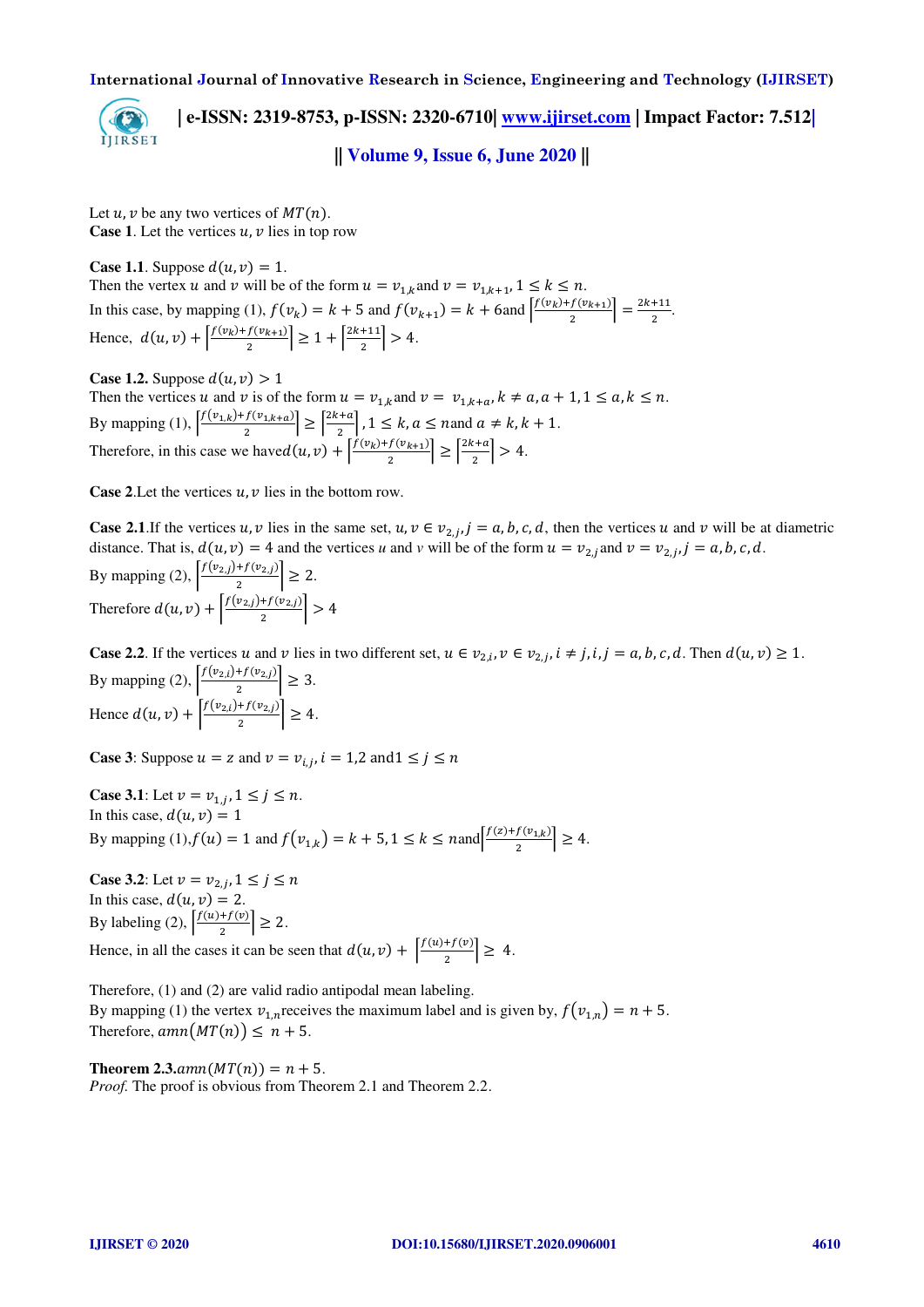

 **| e-ISSN: 2319-8753, p-ISSN: 2320-6710| [www.ijirset.com](http://www.ijirset.com/) | Impact Factor: 7.512|**

**|| Volume 9, Issue 6, June 2020 ||** 

Let  $u, v$  be any two vertices of  $MT(n)$ . **Case 1.** Let the vertices  $u, v$  lies in top row

**Case 1.1.** Suppose  $d(u, v) = 1$ . Then the vertex u and v will be of the form  $u = v_{1,k}$  and  $v = v_{1,k+1}$ ,  $1 \le k \le n$ . In this case, by mapping (1),  $f(v_k) = k + 5$  and  $f(v_{k+1}) = k + 6$  and  $\frac{f(v_k) + f(v_{k+1})}{2}$  $\left| \frac{f(v_{k+1})}{2} \right| = \frac{2k+11}{2}.$ Hence,  $d(u, v) + \left| \frac{f(v_k) + f(v_{k+1})}{2} \right| \ge 1 + \left| \frac{2k+11}{2} \right| > 4.$ 

**Case 1.2.** Suppose  $d(u, v) > 1$ Then the vertices u and v is of the form  $u = v_{1,k}$  and  $v = v_{1,k+a}$ ,  $k \neq a$ ,  $a + 1$ ,  $1 \leq a$ ,  $k \leq n$ . By mapping (1),  $\frac{f(v_{1,k})+f(v_{1,k+a})}{2}$  $\left| \frac{f(v_{1,k+a})}{2} \right| \ge \left| \frac{2k+a}{2} \right|, 1 \le k, a \le n \text{ and } a \ne k, k+1.$ Therefore, in this case we have  $d(u, v) + \left| \frac{f(v_k) + f(v_{k+1})}{2} \right| \ge \left| \frac{2k+a}{2} \right| > 4$ .

**Case 2.** Let the vertices  $u, v$  lies in the bottom row.

**Case 2.1**.If the vertices u, v lies in the same set,  $u, v \in v_{2,j}$ ,  $j = a, b, c, d$ , then the vertices u and v will be at diametric distance. That is,  $d(u, v) = 4$  and the vertices *u* and *v* will be of the form  $u = v_{2,j}$  and  $v = v_{2,j}$ ,  $j = a, b, c, d$ . By mapping (2),  $\frac{f(v_{2,j})+f(v_{2,j})}{2}$  $\frac{1}{2}$   $\geq$  2. Therefore  $d(u, v) + \left| \frac{f(v_{2,j}) + f(v_{2,j})}{2} \right| > 4$ 

**Case 2.2**. If the vertices u and v lies in two different set,  $u \in v_{2,i}$ ,  $v \in v_{2,i}$ ,  $i \neq j$ ,  $i, j = a, b, c, d$ . Then  $d(u, v) \geq 1$ . By mapping (2),  $\frac{f(v_{2,i})+f(v_{2,j})}{2}$  $\left|\frac{\binom{1}{2} \binom{1}{2}}{2}\right| \geq 3.$ Hence  $d(u, v) + \left| \frac{f(v_{2,i}) + f(v_{2,j})}{2} \right| \ge 4$ .

**Case 3**: Suppose  $u = z$  and  $v = v_{i,i}$ ,  $i = 1,2$  and  $1 \leq i \leq n$ 

**Case 3.1**: Let  $v = v_{1,i}$ ,  $1 \le j \le n$ . In this case,  $d(u, v) = 1$ By mapping (1), $f(u) = 1$  and  $f(v_{1,k}) = k + 5$ ,  $1 \le k \le$  nand  $\frac{f(z) + f(v_{1,k})}{2}$  $\left| \frac{f(v_{1,k})}{2} \right| \geq 4.$ 

**Case 3.2**: Let  $v = v_{2,i}$ ,  $1 \le j \le n$ In this case,  $d(u, v) = 2$ . By labeling (2),  $\frac{f(u)+f(v)}{2}$  $\left| \frac{f'(v)}{2} \right| \geq 2.$ Hence, in all the cases it can be seen that  $d(u, v) + \left|\frac{f(u) + f(v)}{2}\right| \geq 4$ .

Therefore, (1) and (2) are valid radio antipodal mean labeling. By mapping (1) the vertex  $v_{1,n}$  receives the maximum label and is given by,  $f(v_{1,n}) = n + 5$ . Therefore,  $amn(MT(n)) \leq n + 5$ .

**Theorem 2.3.** $amn(MT(n)) = n + 5$ . *Proof.* The proof is obvious from Theorem 2.1 and Theorem 2.2.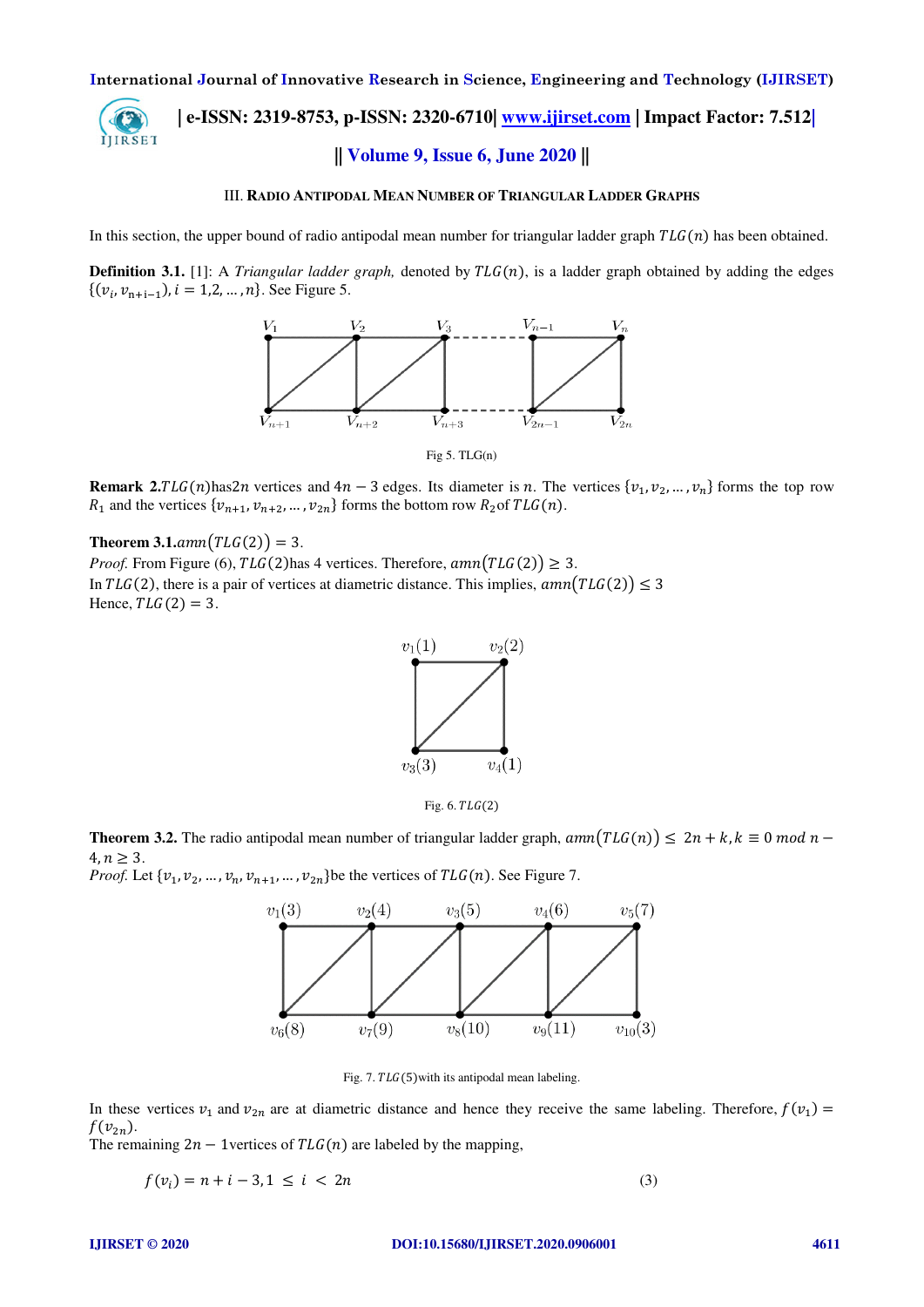# **| e-ISSN: 2319-8753, p-ISSN: 2320-6710| [www.ijirset.com](http://www.ijirset.com/) | Impact Factor: 7.512|** IJIRSET **|| Volume 9, Issue 6, June 2020 ||**

### III. **RADIO ANTIPODAL MEAN NUMBER OF TRIANGULAR LADDER GRAPHS**

In this section, the upper bound of radio antipodal mean number for triangular ladder graph  $TLG(n)$  has been obtained.

**Definition 3.1.** [1]: A *Triangular ladder graph*, denoted by  $TLG(n)$ , is a ladder graph obtained by adding the edges  $\{(v_i, v_{n+i-1}), i = 1, 2, ..., n\}$ . See Figure 5.



Fig  $5.$  TLG $(n)$ 

**Remark 2.***TLG*(*n*)has2*n* vertices and  $4n - 3$  edges. Its diameter is *n*. The vertices  $\{v_1, v_2, ..., v_n\}$  forms the top row  $R_1$  and the vertices  $\{v_{n+1}, v_{n+2}, \dots, v_{2n}\}$  forms the bottom row  $R_2$  of  $TLG(n)$ .

# **Theorem 3.1.** $amn(TLG(2)) = 3$ .

*Proof.* From Figure (6),  $TLG(2)$  has 4 vertices. Therefore,  $amn(TLG(2)) \geq 3$ . In  $TLG(2)$ , there is a pair of vertices at diametric distance. This implies,  $amn(TLG(2)) \leq 3$ Hence,  $TLG(2) = 3$ .



Fig. 6.  $TLG(2)$ 

**Theorem 3.2.** The radio antipodal mean number of triangular ladder graph,  $amn(TLG(n)) \leq 2n + k$ ,  $k \equiv 0 \mod n - 1$  $4, n \geq 3$ .

*Proof.* Let  $\{v_1, v_2, ..., v_n, v_{n+1}, ..., v_{2n}\}$  be the vertices of  $TLG(n)$ . See Figure 7.



Fig. 7.  $TLG(5)$  with its antipodal mean labeling.

In these vertices  $v_1$  and  $v_{2n}$  are at diametric distance and hence they receive the same labeling. Therefore,  $f(v_1)$  $f(v_{2n}).$ 

The remaining  $2n - 1$  vertices of  $TLG(n)$  are labeled by the mapping,

$$
f(v_i) = n + i - 3, 1 \le i < 2n \tag{3}
$$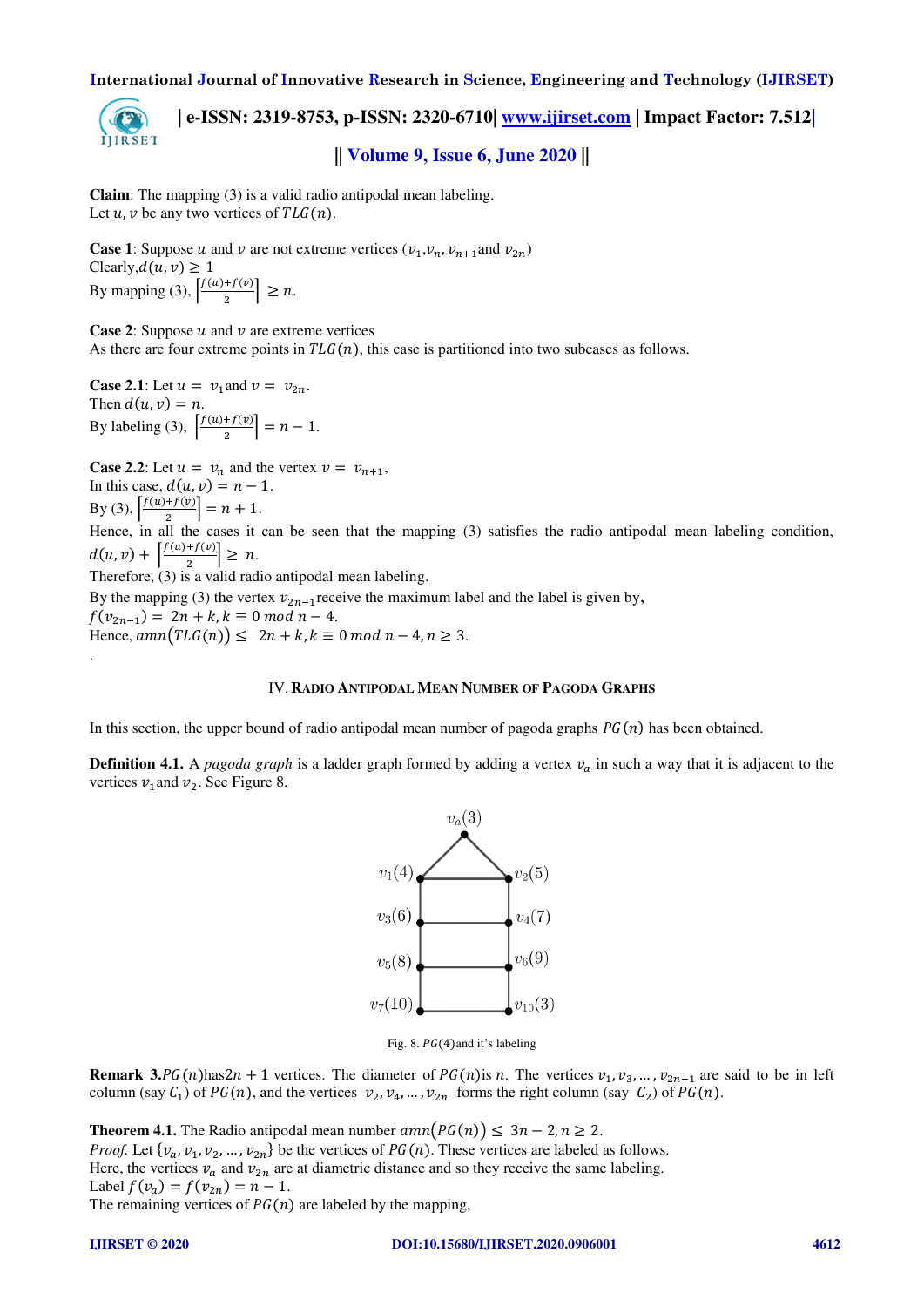

 **| e-ISSN: 2319-8753, p-ISSN: 2320-6710| [www.ijirset.com](http://www.ijirset.com/) | Impact Factor: 7.512| || Volume 9, Issue 6, June 2020 ||** 

**Claim**: The mapping (3) is a valid radio antipodal mean labeling. Let  $u, v$  be any two vertices of  $TLG(n)$ .

**Case 1:** Suppose u and v are not extreme vertices  $(v_1, v_n, v_{n+1}$  and  $v_{2n})$ Clearly,  $d(u, v) \ge 1$ By mapping (3),  $\left| \frac{f(u)+f(v)}{2} \right|$  $\left|\frac{f'(v)}{2}\right| \geq n.$ 

**Case 2:** Suppose  $u$  and  $v$  are extreme vertices As there are four extreme points in  $TLG(n)$ , this case is partitioned into two subcases as follows.

**Case 2.1**: Let  $u = v_1$  and  $v = v_{2n}$ . Then  $d(u, v) = n$ . By labeling (3),  $\frac{f(u)+f(v)}{2}$  $\left| \frac{n}{2} \right| = n - 1.$ 

**Case 2.2**: Let  $u = v_n$  and the vertex  $v = v_{n+1}$ , In this case,  $d(u, v) = n - 1$ .

By (3),  $\frac{f(u)+f(v)}{2}$  $\left| \frac{1}{2} \right| = n + 1.$ 

.

Hence, in all the cases it can be seen that the mapping (3) satisfies the radio antipodal mean labeling condition,  $d(u, v) + \left| \frac{f(u) + f(v)}{2} \right| \geq n.$ 

Therefore,  $(3)$  is a valid radio antipodal mean labeling.

By the mapping (3) the vertex  $v_{2n-1}$  receive the maximum label and the label is given by,  $f(v_{2n-1}) = 2n + k, k \equiv 0 \mod n - 4.$ Hence,  $amn(TLG(n)) \leq 2n + k, k \equiv 0 \mod n - 4, n \geq 3.$ 

### IV.**RADIO ANTIPODAL MEAN NUMBER OF PAGODA GRAPHS**

In this section, the upper bound of radio antipodal mean number of pagoda graphs  $PG(n)$  has been obtained.

**Definition 4.1.** A *pagoda graph* is a ladder graph formed by adding a vertex  $v_a$  in such a way that it is adjacent to the vertices  $v_1$  and  $v_2$ . See Figure 8.



Fig. 8.  $PG(4)$ and it's labeling

**Remark 3.** $PG(n)$ has $2n + 1$  vertices. The diameter of  $PG(n)$  is n. The vertices  $v_1, v_3, ..., v_{2n-1}$  are said to be in left column (say  $C_1$ ) of  $PG(n)$ , and the vertices  $v_2, v_4, ..., v_{2n}$  forms the right column (say  $C_2$ ) of  $PG(n)$ .

**Theorem 4.1.** The Radio antipodal mean number  $amn(PG(n)) \leq 3n - 2, n \geq 2$ . *Proof.* Let  $\{v_a, v_1, v_2, ..., v_{2n}\}$  be the vertices of  $PG(n)$ . These vertices are labeled as follows. Here, the vertices  $v_a$  and  $v_{2n}$  are at diametric distance and so they receive the same labeling. Label  $f(v_a) = f(v_{2n}) = n - 1$ . The remaining vertices of  $PG(n)$  are labeled by the mapping,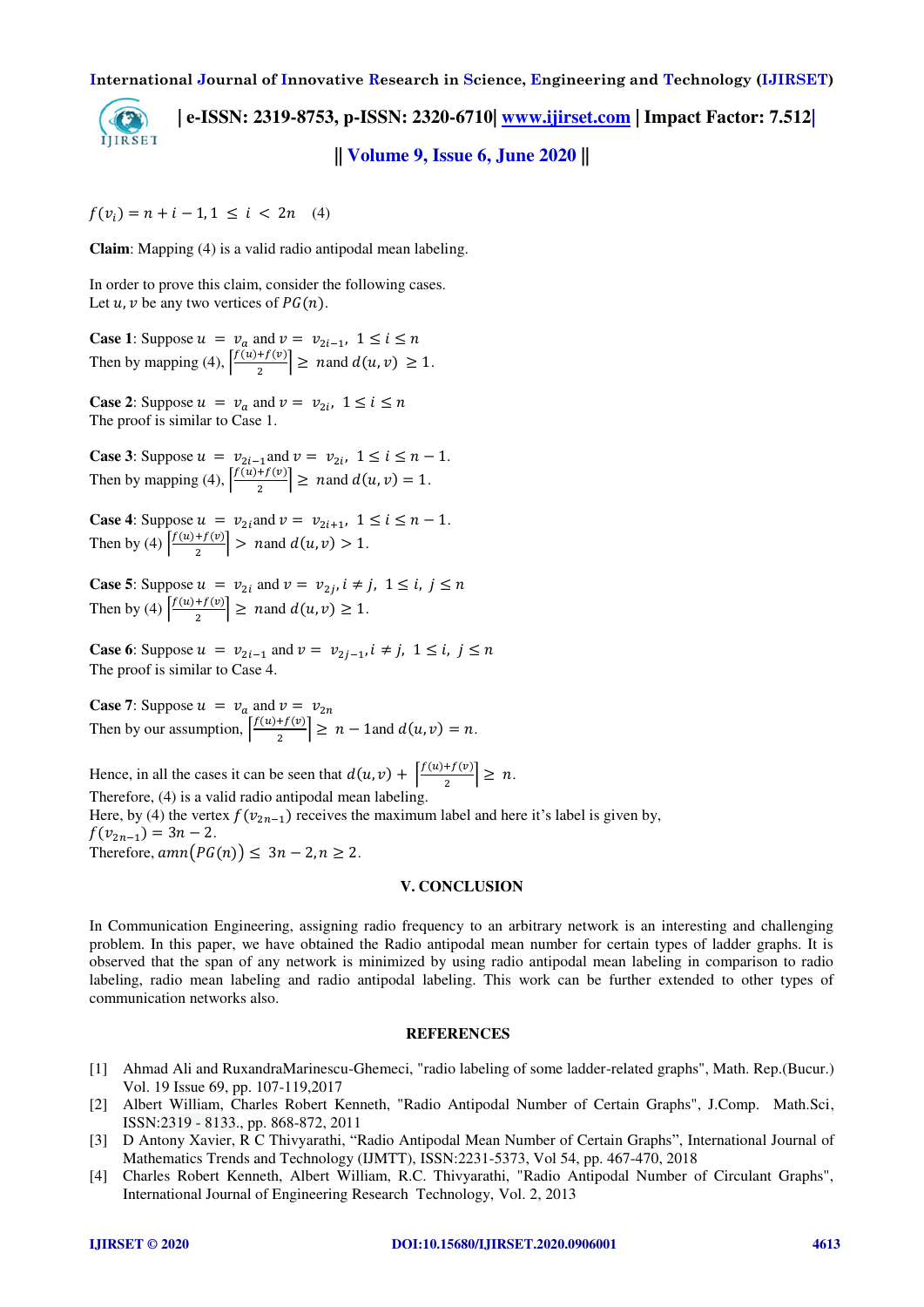**| e-ISSN: 2319-8753, p-ISSN: 2320-6710| [www.ijirset.com](http://www.ijirset.com/) | Impact Factor: 7.512|** IJIRSET **|| Volume 9, Issue 6, June 2020 ||** 

 $f(v_i) = n + i - 1, 1 \leq i < 2n$  (4)

**Claim**: Mapping (4) is a valid radio antipodal mean labeling.

In order to prove this claim, consider the following cases. Let  $u, v$  be any two vertices of  $PG(n)$ .

**Case 1**: Suppose  $u = v_a$  and  $v = v_{2i-1}$ ,  $1 \le i \le n$ Then by mapping (4),  $\frac{f(u)+f(v)}{2}$  $\left|\frac{u+y(v)}{2}\right| \geq n$  and  $d(u, v) \geq 1$ .

**Case 2**: Suppose  $u = v_a$  and  $v = v_{2i}$ ,  $1 \le i \le n$ The proof is similar to Case 1.

**Case 3**: Suppose  $u = v_{2i-1}$  and  $v = v_{2i}$ ,  $1 \le i \le n-1$ . Then by mapping (4),  $\frac{f(u)+f(v)}{2}$  $\left| \frac{u}{2} \right| \geq n$  and  $d(u, v) = 1$ .

**Case 4**: Suppose  $u = v_{2i}$  and  $v = v_{2i+1}$ ,  $1 \le i \le n-1$ . Then by (4)  $\frac{f(u)+f(v)}{2}$  $\left| \frac{u}{2} \right| > n$  and  $d(u, v) > 1$ .

**Case 5**: Suppose  $u = v_{2i}$  and  $v = v_{2i}$ ,  $i \neq j$ ,  $1 \leq i$ ,  $j \leq n$ Then by (4)  $\frac{f(u)+f(v)}{2}$  $\left|\frac{u+y(v)}{2}\right| \geq n$  and  $d(u, v) \geq 1$ .

**Case 6**: Suppose  $u = v_{2i-1}$  and  $v = v_{2j-1}$ ,  $i \neq j$ ,  $1 \leq i$ ,  $j \leq n$ The proof is similar to Case 4.

**Case 7:** Suppose  $u = v_a$  and  $v = v_{2n}$ Then by our assumption,  $\frac{f(u)+f(v)}{2}$  $\left| \frac{u}{2} \right| \geq n - 1$  and  $d(u, v) = n$ .

Hence, in all the cases it can be seen that  $d(u, v) + \left|\frac{f(u) + f(v)}{2}\right| \geq n$ . Therefore, (4) is a valid radio antipodal mean labeling. Here, by (4) the vertex  $f(v_{2n-1})$  receives the maximum label and here it's label is given by,

 $f(v_{2n-1}) = 3n - 2.$ Therefore,  $amn(PG(n)) \leq 3n - 2, n \geq 2$ .

#### **V. CONCLUSION**

In Communication Engineering, assigning radio frequency to an arbitrary network is an interesting and challenging problem. In this paper, we have obtained the Radio antipodal mean number for certain types of ladder graphs. It is observed that the span of any network is minimized by using radio antipodal mean labeling in comparison to radio labeling, radio mean labeling and radio antipodal labeling. This work can be further extended to other types of communication networks also.

#### **REFERENCES**

- [1] Ahmad Ali and RuxandraMarinescu-Ghemeci, "radio labeling of some ladder-related graphs", Math. Rep.(Bucur.) Vol. 19 Issue 69, pp. 107-119,2017
- [2] Albert William, Charles Robert Kenneth, "Radio Antipodal Number of Certain Graphs", J.Comp. Math.Sci, ISSN:2319 - 8133., pp. 868-872, 2011
- [3] D Antony Xavier, R C Thivyarathi, "Radio Antipodal Mean Number of Certain Graphs", International Journal of Mathematics Trends and Technology (IJMTT), ISSN:2231-5373, Vol 54, pp. 467-470, 2018
- [4] Charles Robert Kenneth, Albert William, R.C. Thivyarathi, "Radio Antipodal Number of Circulant Graphs", International Journal of Engineering Research Technology, Vol. 2, 2013